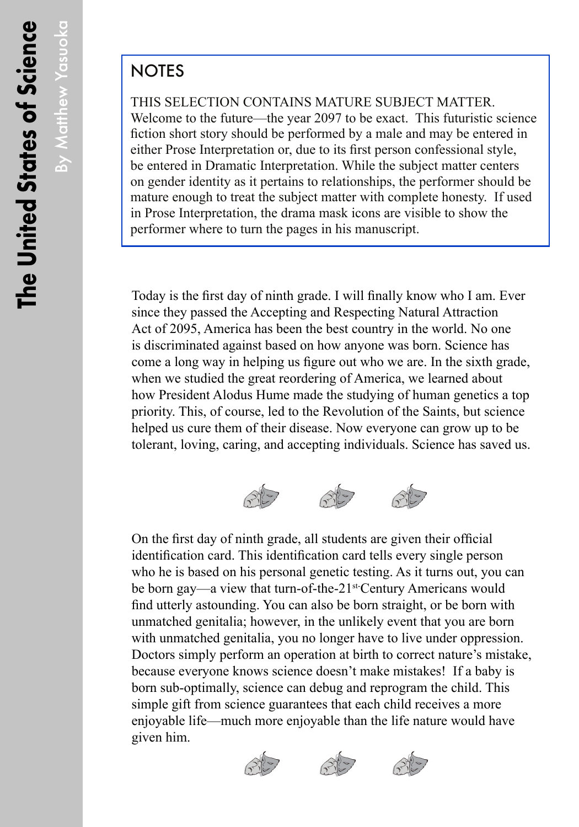By Matthew Yasuoka

By Matthew Yasuoka

## **NOTES**

THIS SELECTION CONTAINS MATURE SUBJECT MATTER. Welcome to the future—the year 2097 to be exact. This futuristic science fiction short story should be performed by a male and may be entered in either Prose Interpretation or, due to its first person confessional style, be entered in Dramatic Interpretation. While the subject matter centers on gender identity as it pertains to relationships, the performer should be mature enough to treat the subject matter with complete honesty. If used in Prose Interpretation, the drama mask icons are visible to show the performer where to turn the pages in his manuscript.

Today is the first day of ninth grade. I will finally know who I am. Ever since they passed the Accepting and Respecting Natural Attraction Act of 2095, America has been the best country in the world. No one is discriminated against based on how anyone was born. Science has come a long way in helping us figure out who we are. In the sixth grade, when we studied the great reordering of America, we learned about how President Alodus Hume made the studying of human genetics a top priority. This, of course, led to the Revolution of the Saints, but science helped us cure them of their disease. Now everyone can grow up to be tolerant, loving, caring, and accepting individuals. Science has saved us.



On the first day of ninth grade, all students are given their official identification card. This identification card tells every single person who he is based on his personal genetic testing. As it turns out, you can be born gay—a view that turn-of-the-21<sup>st-</sup>Century Americans would find utterly astounding. You can also be born straight, or be born with unmatched genitalia; however, in the unlikely event that you are born with unmatched genitalia, you no longer have to live under oppression. Doctors simply perform an operation at birth to correct nature's mistake, because everyone knows science doesn't make mistakes! If a baby is born sub-optimally, science can debug and reprogram the child. This simple gift from science guarantees that each child receives a more enjoyable life—much more enjoyable than the life nature would have given him.